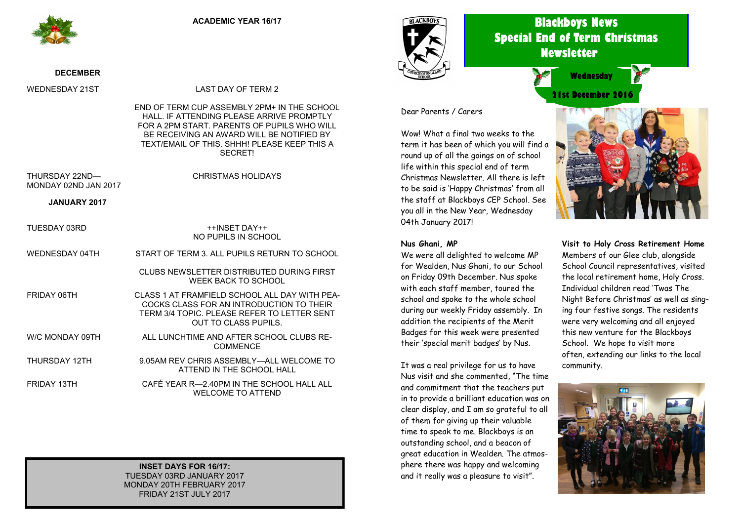

#### **DECEMBER**

WEDNESDAY 21ST LAST DAY OF TERM 2

END OF TERM CUP ASSEMBLY 2PM+ IN THE SCHOOL HALL. IF ATTENDING PLEASE ARRIVE PROMPTLY FOR A 2PM START. PARENTS OF PUPILS WHO WILL BE RECEIVING AN AWARD WILL BE NOTIFIED BY TEXT/FMAIL OF THIS. SHHH! PLEASE KEEP THIS A SECRET!

THURSDAY 22ND— MONDAY 02ND JAN 2017 CHRISTMAS HOLIDAYS

**JANUARY 2017**

| TUESDAY 03RD    | ++INSFT DAY++<br>NO PUPILS IN SCHOOL                                                                                                                             |
|-----------------|------------------------------------------------------------------------------------------------------------------------------------------------------------------|
| WEDNESDAY 04TH  | START OF TERM 3. ALL PUPILS RETURN TO SCHOOL                                                                                                                     |
|                 | CLUBS NEWSLETTER DISTRIBUTED DURING FIRST<br><b>WEEK BACK TO SCHOOL</b>                                                                                          |
| FRIDAY 06TH     | CLASS 1 AT FRAMFIELD SCHOOL ALL DAY WITH PEA-<br>COCKS CLASS FOR AN INTRODUCTION TO THEIR<br>TERM 3/4 TOPIC. PLEASE REFER TO LETTER SENT<br>OUT TO CLASS PUPILS. |
| W/C MONDAY 09TH | ALL LUNCHTIME AND AFTER SCHOOL CLUBS RE-<br><b>COMMENCE</b>                                                                                                      |
| THURSDAY 12TH   | 9.05AM REV CHRIS ASSEMBLY—ALL WELCOME TO<br>ATTEND IN THE SCHOOL HALL                                                                                            |
| FRIDAY 13TH     | CAFÉ YEAR R-2.40PM IN THE SCHOOL HALL ALL<br><b>WELCOME TO ATTEND</b>                                                                                            |

**INSET DAYS FOR 16/17:** TUESDAY 03RD JANUARY 2017 MONDAY 20TH FEBRUARY 2017 FRIDAY 21ST JULY 2017



## **Blackboys News Special End of Term Christmas Newsletter**



# **21st December 2016 Wednesday**



Wow! What a final two weeks to the term it has been of which you will find a round up of all the goings on of school life within this special end of term Christmas Newsletter. All there is left to be said is 'Happy Christmas' from all the staff at Blackboys CEP School. See you all in the New Year, Wednesday 04th January 2017!

#### **Nus Ghani, MP**

We were all delighted to welcome MP for Wealden, Nus Ghani, to our School on Friday 09th December. Nus spoke with each staff member, toured the school and spoke to the whole school during our weekly Friday assembly. In addition the recipients of the Merit Badges for this week were presented their 'special merit badges' by Nus.

It was a real privilege for us to have Nus visit and she commented, "The time and commitment that the teachers put in to provide a brilliant education was on clear display, and I am so grateful to all of them for giving up their valuable time to speak to me. Blackboys is an outstanding school, and a beacon of great education in Wealden. The atmosphere there was happy and welcoming and it really was a pleasure to visit".



**Visit to Holy Cross Retirement Home** Members of our Glee club, alongside School Council representatives, visited the local retirement home, Holy Cross. Individual children read 'Twas The Night Before Christmas' as well as singing four festive songs. The residents were very welcoming and all enjoyed this new venture for the Blackboys School. We hope to visit more often, extending our links to the local community.